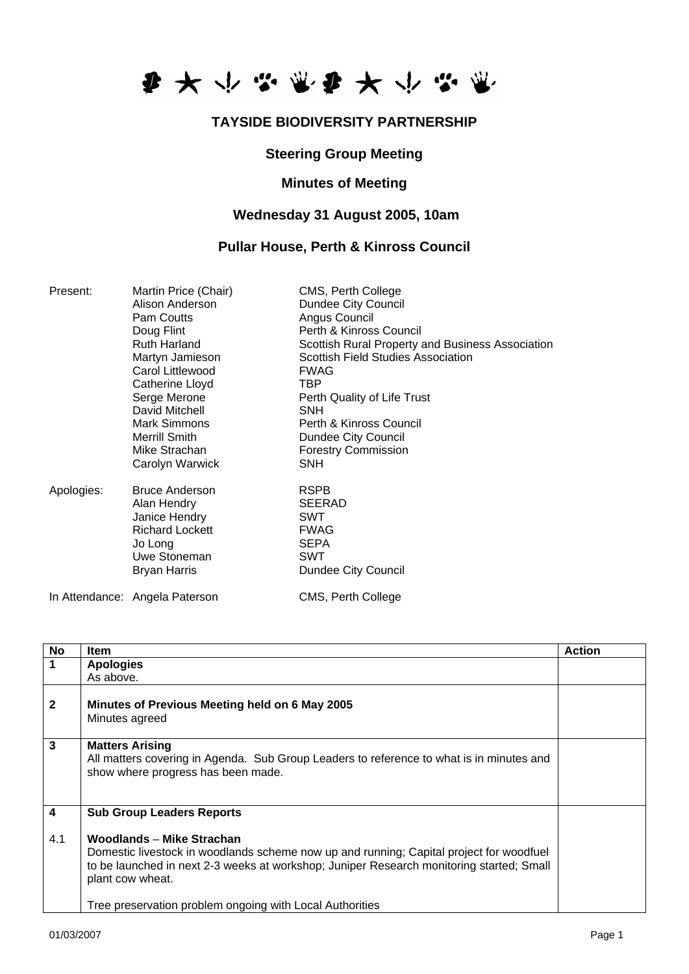

# **TAYSIDE BIODIVERSITY PARTNERSHIP**

### **Steering Group Meeting**

### **Minutes of Meeting**

# **Wednesday 31 August 2005, 10am**

### **Pullar House, Perth & Kinross Council**

| Present:   | Martin Price (Chair)           | CMS, Perth College                               |
|------------|--------------------------------|--------------------------------------------------|
|            | Alison Anderson                | Dundee City Council                              |
|            | Pam Coutts                     | Angus Council                                    |
|            | Doug Flint                     | Perth & Kinross Council                          |
|            | <b>Ruth Harland</b>            | Scottish Rural Property and Business Association |
|            | Martyn Jamieson                | Scottish Field Studies Association               |
|            | Carol Littlewood               | <b>FWAG</b>                                      |
|            | Catherine Lloyd                | TBP                                              |
|            | Serge Merone                   | Perth Quality of Life Trust                      |
|            | David Mitchell                 | <b>SNH</b>                                       |
|            | <b>Mark Simmons</b>            | Perth & Kinross Council                          |
|            | <b>Merrill Smith</b>           | Dundee City Council                              |
|            | Mike Strachan                  | <b>Forestry Commission</b>                       |
|            | Carolyn Warwick                | <b>SNH</b>                                       |
| Apologies: | <b>Bruce Anderson</b>          | <b>RSPB</b>                                      |
|            | Alan Hendry                    | <b>SEERAD</b>                                    |
|            | Janice Hendry                  | <b>SWT</b>                                       |
|            | <b>Richard Lockett</b>         | <b>FWAG</b>                                      |
|            | Jo Long                        | <b>SEPA</b>                                      |
|            | Uwe Stoneman                   | <b>SWT</b>                                       |
|            | <b>Bryan Harris</b>            | Dundee City Council                              |
|            | In Attendance: Angela Paterson | CMS, Perth College                               |

| <b>No</b>               | <b>Item</b>                                                                                                                                                                                                                                                                                      | <b>Action</b> |
|-------------------------|--------------------------------------------------------------------------------------------------------------------------------------------------------------------------------------------------------------------------------------------------------------------------------------------------|---------------|
| 1                       | <b>Apologies</b>                                                                                                                                                                                                                                                                                 |               |
|                         | As above.                                                                                                                                                                                                                                                                                        |               |
| $\mathbf{2}$            | Minutes of Previous Meeting held on 6 May 2005<br>Minutes agreed                                                                                                                                                                                                                                 |               |
| 3                       | <b>Matters Arising</b><br>All matters covering in Agenda. Sub Group Leaders to reference to what is in minutes and<br>show where progress has been made.                                                                                                                                         |               |
| $\overline{\mathbf{4}}$ | <b>Sub Group Leaders Reports</b>                                                                                                                                                                                                                                                                 |               |
| 4.1                     | Woodlands - Mike Strachan<br>Domestic livestock in woodlands scheme now up and running; Capital project for woodfuel<br>to be launched in next 2-3 weeks at workshop; Juniper Research monitoring started; Small<br>plant cow wheat.<br>Tree preservation problem ongoing with Local Authorities |               |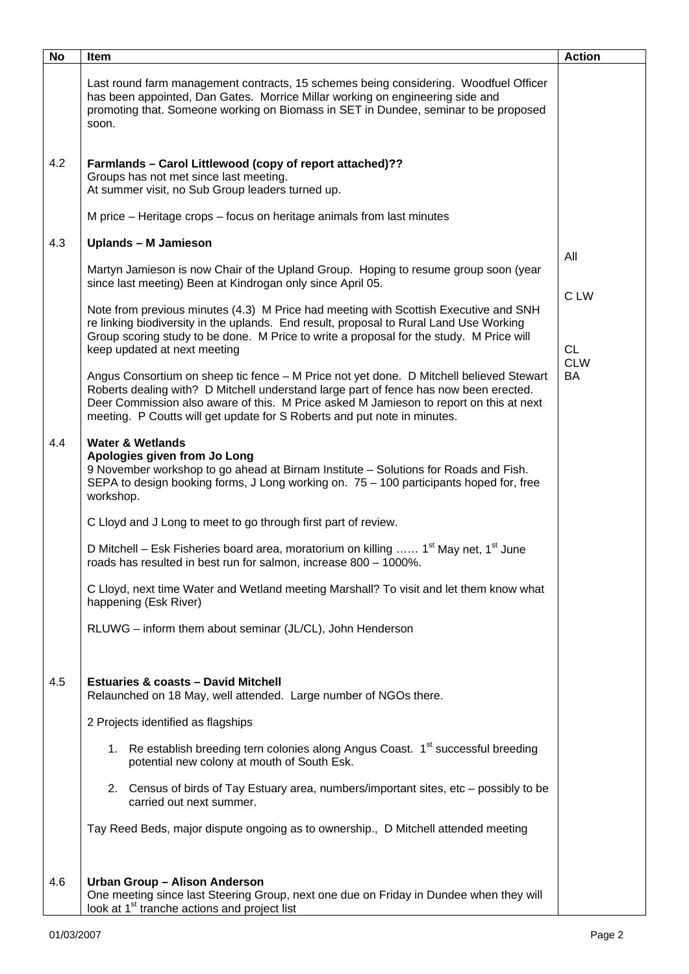| <b>No</b> | Item                                                                                                                                                                                                                                                                                                                                                   | <b>Action</b>     |
|-----------|--------------------------------------------------------------------------------------------------------------------------------------------------------------------------------------------------------------------------------------------------------------------------------------------------------------------------------------------------------|-------------------|
|           | Last round farm management contracts, 15 schemes being considering. Woodfuel Officer<br>has been appointed, Dan Gates. Morrice Millar working on engineering side and<br>promoting that. Someone working on Biomass in SET in Dundee, seminar to be proposed<br>soon.                                                                                  |                   |
| 4.2       | Farmlands - Carol Littlewood (copy of report attached)??<br>Groups has not met since last meeting.<br>At summer visit, no Sub Group leaders turned up.                                                                                                                                                                                                 |                   |
|           | M price – Heritage crops – focus on heritage animals from last minutes                                                                                                                                                                                                                                                                                 |                   |
| 4.3       | <b>Uplands - M Jamieson</b>                                                                                                                                                                                                                                                                                                                            | All               |
|           | Martyn Jamieson is now Chair of the Upland Group. Hoping to resume group soon (year<br>since last meeting) Been at Kindrogan only since April 05.                                                                                                                                                                                                      |                   |
|           | Note from previous minutes (4.3) M Price had meeting with Scottish Executive and SNH<br>re linking biodiversity in the uplands. End result, proposal to Rural Land Use Working<br>Group scoring study to be done. M Price to write a proposal for the study. M Price will<br>keep updated at next meeting                                              | C LW<br><b>CL</b> |
|           | Angus Consortium on sheep tic fence - M Price not yet done. D Mitchell believed Stewart<br>Roberts dealing with? D Mitchell understand large part of fence has now been erected.<br>Deer Commission also aware of this. M Price asked M Jamieson to report on this at next<br>meeting. P Coutts will get update for S Roberts and put note in minutes. | <b>CLW</b><br>BA  |
| 4.4       | <b>Water &amp; Wetlands</b><br>Apologies given from Jo Long<br>9 November workshop to go ahead at Birnam Institute - Solutions for Roads and Fish.<br>SEPA to design booking forms, J Long working on. 75 - 100 participants hoped for, free<br>workshop.                                                                                              |                   |
|           | C Lloyd and J Long to meet to go through first part of review.                                                                                                                                                                                                                                                                                         |                   |
|           | D Mitchell – Esk Fisheries board area, moratorium on killing  1 <sup>st</sup> May net, 1 <sup>st</sup> June<br>roads has resulted in best run for salmon, increase 800 - 1000%.                                                                                                                                                                        |                   |
|           | C Lloyd, next time Water and Wetland meeting Marshall? To visit and let them know what<br>happening (Esk River)                                                                                                                                                                                                                                        |                   |
|           | RLUWG - inform them about seminar (JL/CL), John Henderson                                                                                                                                                                                                                                                                                              |                   |
| 4.5       | <b>Estuaries &amp; coasts - David Mitchell</b><br>Relaunched on 18 May, well attended. Large number of NGOs there.                                                                                                                                                                                                                                     |                   |
|           | 2 Projects identified as flagships                                                                                                                                                                                                                                                                                                                     |                   |
|           | 1. Re establish breeding tern colonies along Angus Coast. 1 <sup>st</sup> successful breeding<br>potential new colony at mouth of South Esk.                                                                                                                                                                                                           |                   |
|           | 2. Census of birds of Tay Estuary area, numbers/important sites, etc – possibly to be<br>carried out next summer.                                                                                                                                                                                                                                      |                   |
|           | Tay Reed Beds, major dispute ongoing as to ownership., D Mitchell attended meeting                                                                                                                                                                                                                                                                     |                   |
| 4.6       | Urban Group - Alison Anderson<br>One meeting since last Steering Group, next one due on Friday in Dundee when they will<br>look at 1 <sup>st</sup> tranche actions and project list                                                                                                                                                                    |                   |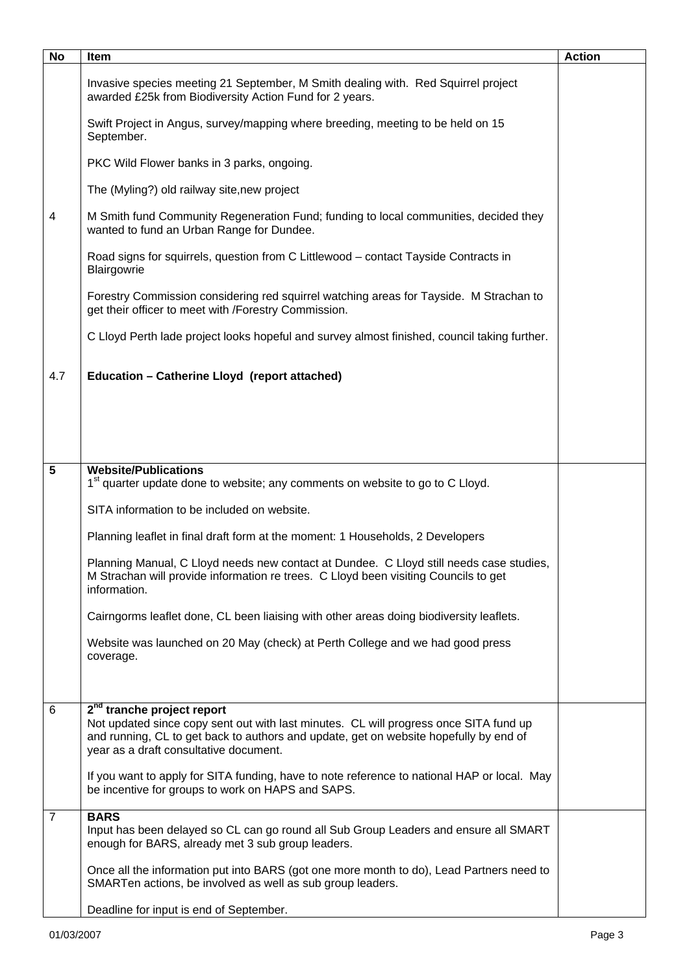| <b>No</b>      | Item                                                                                                                                                                                                                                                               | <b>Action</b> |
|----------------|--------------------------------------------------------------------------------------------------------------------------------------------------------------------------------------------------------------------------------------------------------------------|---------------|
|                | Invasive species meeting 21 September, M Smith dealing with. Red Squirrel project<br>awarded £25k from Biodiversity Action Fund for 2 years.                                                                                                                       |               |
|                | Swift Project in Angus, survey/mapping where breeding, meeting to be held on 15<br>September.                                                                                                                                                                      |               |
|                | PKC Wild Flower banks in 3 parks, ongoing.                                                                                                                                                                                                                         |               |
|                | The (Myling?) old railway site, new project                                                                                                                                                                                                                        |               |
| 4              | M Smith fund Community Regeneration Fund; funding to local communities, decided they<br>wanted to fund an Urban Range for Dundee.                                                                                                                                  |               |
|                | Road signs for squirrels, question from C Littlewood - contact Tayside Contracts in<br>Blairgowrie                                                                                                                                                                 |               |
|                | Forestry Commission considering red squirrel watching areas for Tayside. M Strachan to<br>get their officer to meet with /Forestry Commission.                                                                                                                     |               |
|                | C Lloyd Perth lade project looks hopeful and survey almost finished, council taking further.                                                                                                                                                                       |               |
| 4.7            | Education - Catherine Lloyd (report attached)                                                                                                                                                                                                                      |               |
|                |                                                                                                                                                                                                                                                                    |               |
|                |                                                                                                                                                                                                                                                                    |               |
| 5              | <b>Website/Publications</b>                                                                                                                                                                                                                                        |               |
|                | 1 <sup>st</sup> quarter update done to website; any comments on website to go to C Lloyd.                                                                                                                                                                          |               |
|                | SITA information to be included on website.                                                                                                                                                                                                                        |               |
|                | Planning leaflet in final draft form at the moment: 1 Households, 2 Developers                                                                                                                                                                                     |               |
|                | Planning Manual, C Lloyd needs new contact at Dundee. C Lloyd still needs case studies,<br>M Strachan will provide information re trees. C Lloyd been visiting Councils to get<br>information.                                                                     |               |
|                | Cairngorms leaflet done, CL been liaising with other areas doing biodiversity leaflets.                                                                                                                                                                            |               |
|                | Website was launched on 20 May (check) at Perth College and we had good press                                                                                                                                                                                      |               |
|                | coverage.                                                                                                                                                                                                                                                          |               |
|                |                                                                                                                                                                                                                                                                    |               |
| 6              | 2 <sup>nd</sup> tranche project report<br>Not updated since copy sent out with last minutes. CL will progress once SITA fund up<br>and running, CL to get back to authors and update, get on website hopefully by end of<br>year as a draft consultative document. |               |
|                | If you want to apply for SITA funding, have to note reference to national HAP or local. May<br>be incentive for groups to work on HAPS and SAPS.                                                                                                                   |               |
| $\overline{7}$ | <b>BARS</b><br>Input has been delayed so CL can go round all Sub Group Leaders and ensure all SMART<br>enough for BARS, already met 3 sub group leaders.                                                                                                           |               |
|                | Once all the information put into BARS (got one more month to do), Lead Partners need to<br>SMARTen actions, be involved as well as sub group leaders.                                                                                                             |               |
|                | Deadline for input is end of September.                                                                                                                                                                                                                            |               |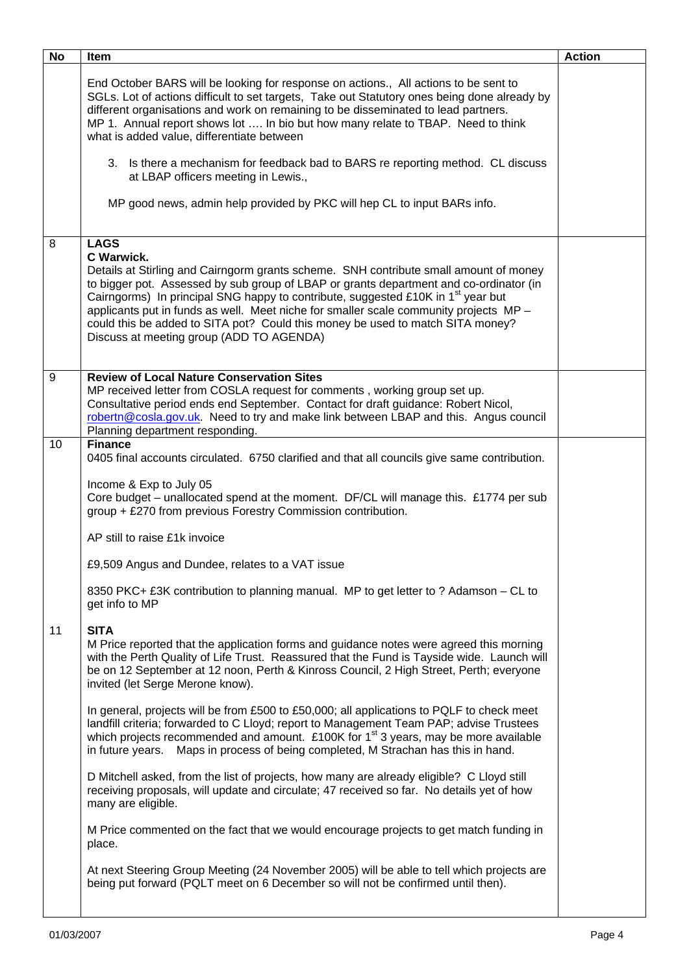| <b>No</b> | <b>Item</b>                                                                                                                                                                                                                                                                                                                                                                                                                                                                                                                                                                                                                                                                                                                                                                                                                                                                                                                                                                                                                                                                                                                                                                                                   | <b>Action</b> |
|-----------|---------------------------------------------------------------------------------------------------------------------------------------------------------------------------------------------------------------------------------------------------------------------------------------------------------------------------------------------------------------------------------------------------------------------------------------------------------------------------------------------------------------------------------------------------------------------------------------------------------------------------------------------------------------------------------------------------------------------------------------------------------------------------------------------------------------------------------------------------------------------------------------------------------------------------------------------------------------------------------------------------------------------------------------------------------------------------------------------------------------------------------------------------------------------------------------------------------------|---------------|
|           | End October BARS will be looking for response on actions., All actions to be sent to<br>SGLs. Lot of actions difficult to set targets, Take out Statutory ones being done already by<br>different organisations and work on remaining to be disseminated to lead partners.<br>MP 1. Annual report shows lot  In bio but how many relate to TBAP. Need to think<br>what is added value, differentiate between<br>3. Is there a mechanism for feedback bad to BARS re reporting method. CL discuss<br>at LBAP officers meeting in Lewis.,<br>MP good news, admin help provided by PKC will hep CL to input BARs info.                                                                                                                                                                                                                                                                                                                                                                                                                                                                                                                                                                                           |               |
| 8         | <b>LAGS</b><br>C Warwick.<br>Details at Stirling and Cairngorm grants scheme. SNH contribute small amount of money<br>to bigger pot. Assessed by sub group of LBAP or grants department and co-ordinator (in<br>Cairngorms) In principal SNG happy to contribute, suggested £10K in 1 <sup>st</sup> year but<br>applicants put in funds as well. Meet niche for smaller scale community projects MP -<br>could this be added to SITA pot? Could this money be used to match SITA money?<br>Discuss at meeting group (ADD TO AGENDA)                                                                                                                                                                                                                                                                                                                                                                                                                                                                                                                                                                                                                                                                           |               |
| 9         | <b>Review of Local Nature Conservation Sites</b><br>MP received letter from COSLA request for comments, working group set up.<br>Consultative period ends end September. Contact for draft guidance: Robert Nicol,<br>robertn@cosla.gov.uk. Need to try and make link between LBAP and this. Angus council<br>Planning department responding.                                                                                                                                                                                                                                                                                                                                                                                                                                                                                                                                                                                                                                                                                                                                                                                                                                                                 |               |
| 10        | <b>Finance</b><br>0405 final accounts circulated. 6750 clarified and that all councils give same contribution.<br>Income & Exp to July 05<br>Core budget – unallocated spend at the moment. DF/CL will manage this. £1774 per sub<br>group + £270 from previous Forestry Commission contribution.<br>AP still to raise £1k invoice<br>£9,509 Angus and Dundee, relates to a VAT issue<br>8350 PKC+ £3K contribution to planning manual. MP to get letter to ? Adamson – CL to<br>get info to MP                                                                                                                                                                                                                                                                                                                                                                                                                                                                                                                                                                                                                                                                                                               |               |
| 11        | <b>SITA</b><br>M Price reported that the application forms and guidance notes were agreed this morning<br>with the Perth Quality of Life Trust. Reassured that the Fund is Tayside wide. Launch will<br>be on 12 September at 12 noon, Perth & Kinross Council, 2 High Street, Perth; everyone<br>invited (let Serge Merone know).<br>In general, projects will be from £500 to £50,000; all applications to PQLF to check meet<br>landfill criteria; forwarded to C Lloyd; report to Management Team PAP; advise Trustees<br>which projects recommended and amount. £100K for $1st$ 3 years, may be more available<br>in future years. Maps in process of being completed, M Strachan has this in hand.<br>D Mitchell asked, from the list of projects, how many are already eligible? C Lloyd still<br>receiving proposals, will update and circulate; 47 received so far. No details yet of how<br>many are eligible.<br>M Price commented on the fact that we would encourage projects to get match funding in<br>place.<br>At next Steering Group Meeting (24 November 2005) will be able to tell which projects are<br>being put forward (PQLT meet on 6 December so will not be confirmed until then). |               |
|           |                                                                                                                                                                                                                                                                                                                                                                                                                                                                                                                                                                                                                                                                                                                                                                                                                                                                                                                                                                                                                                                                                                                                                                                                               |               |